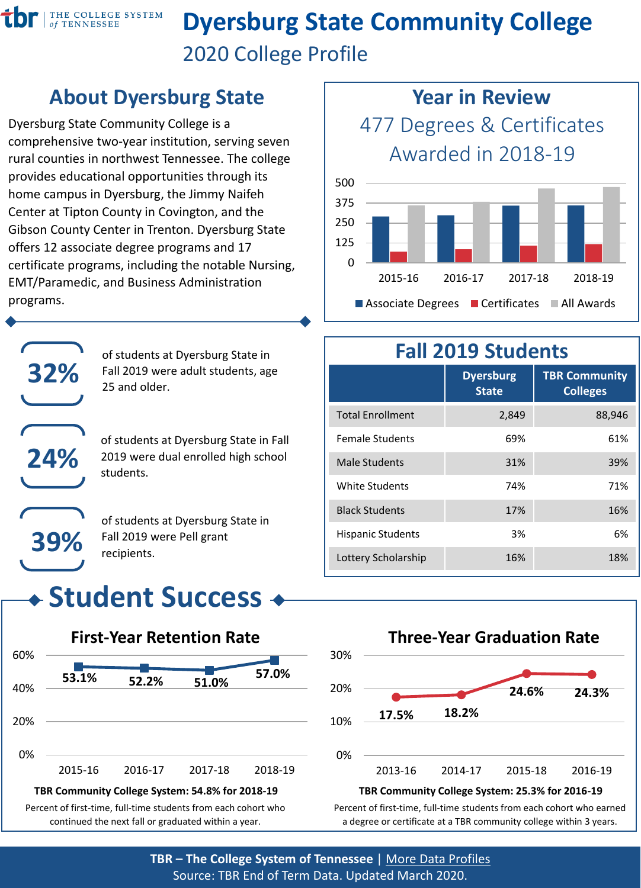

# **Dyersburg State Community College** 2020 College Profile

#### **About Dyersburg State**

Dyersburg State Community College is a comprehensive two-year institution, serving seven rural counties in northwest Tennessee. The college provides educational opportunities through its home campus in Dyersburg, the Jimmy Naifeh Center at Tipton County in Covington, and the Gibson County Center in Trenton. Dyersburg State offers 12 associate degree programs and 17 certificate programs, including the notable Nursing, EMT/Paramedic, and Business Administration programs.



of students at Dyersburg State in Fall 2019 were adult students, age 25 and older.

of students at Dyersburg State in Fall 2019 were dual enrolled high school students.

of students at Dyersburg State in Fall 2019 were Pell grant recipients.

# **Student Success**



Percent of first-time, full-time students from each cohort who continued the next fall or graduated within a year.



#### **Fall 2019 Students**

|                          | <b>Dyersburg</b><br><b>State</b> | <b>TBR Community</b><br><b>Colleges</b> |
|--------------------------|----------------------------------|-----------------------------------------|
| <b>Total Enrollment</b>  | 2,849                            | 88,946                                  |
| <b>Female Students</b>   | 69%                              | 61%                                     |
| Male Students            | 31%                              | 39%                                     |
| White Students           | 74%                              | 71%                                     |
| <b>Black Students</b>    | 17%                              | 16%                                     |
| <b>Hispanic Students</b> | 3%                               | 6%                                      |
| Lottery Scholarship      | 16%                              | 18%                                     |



Percent of first-time, full-time students from each cohort who earned a degree or certificate at a TBR community college within 3 years.